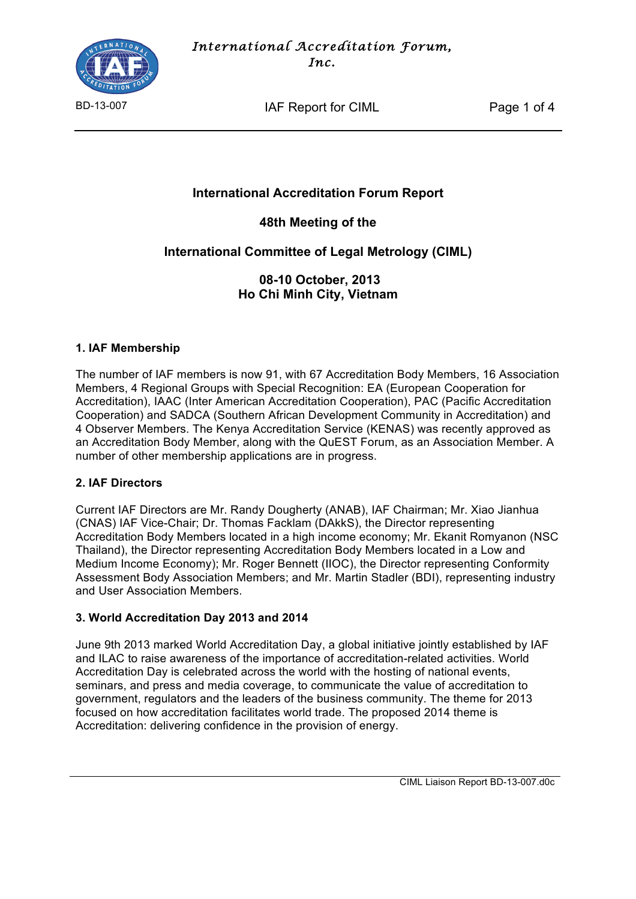

BD-13-007 **IAF Report for CIML** Page 1 of 4

# **International Accreditation Forum Report**

**48th Meeting of the** 

**International Committee of Legal Metrology (CIML)** 

**08-10 October, 2013 Ho Chi Minh City, Vietnam**

## **1. IAF Membership**

The number of IAF members is now 91, with 67 Accreditation Body Members, 16 Association Members, 4 Regional Groups with Special Recognition: EA (European Cooperation for Accreditation), IAAC (Inter American Accreditation Cooperation), PAC (Pacific Accreditation Cooperation) and SADCA (Southern African Development Community in Accreditation) and 4 Observer Members. The Kenya Accreditation Service (KENAS) was recently approved as an Accreditation Body Member, along with the QuEST Forum, as an Association Member. A number of other membership applications are in progress.

# **2. IAF Directors**

Current IAF Directors are Mr. Randy Dougherty (ANAB), IAF Chairman; Mr. Xiao Jianhua (CNAS) IAF Vice-Chair; Dr. Thomas Facklam (DAkkS), the Director representing Accreditation Body Members located in a high income economy; Mr. Ekanit Romyanon (NSC Thailand), the Director representing Accreditation Body Members located in a Low and Medium Income Economy); Mr. Roger Bennett (IIOC), the Director representing Conformity Assessment Body Association Members; and Mr. Martin Stadler (BDI), representing industry and User Association Members.

# **3. World Accreditation Day 2013 and 2014**

June 9th 2013 marked World Accreditation Day, a global initiative jointly established by IAF and ILAC to raise awareness of the importance of accreditation-related activities. World Accreditation Day is celebrated across the world with the hosting of national events, seminars, and press and media coverage, to communicate the value of accreditation to government, regulators and the leaders of the business community. The theme for 2013 focused on how accreditation facilitates world trade. The proposed 2014 theme is Accreditation: delivering confidence in the provision of energy.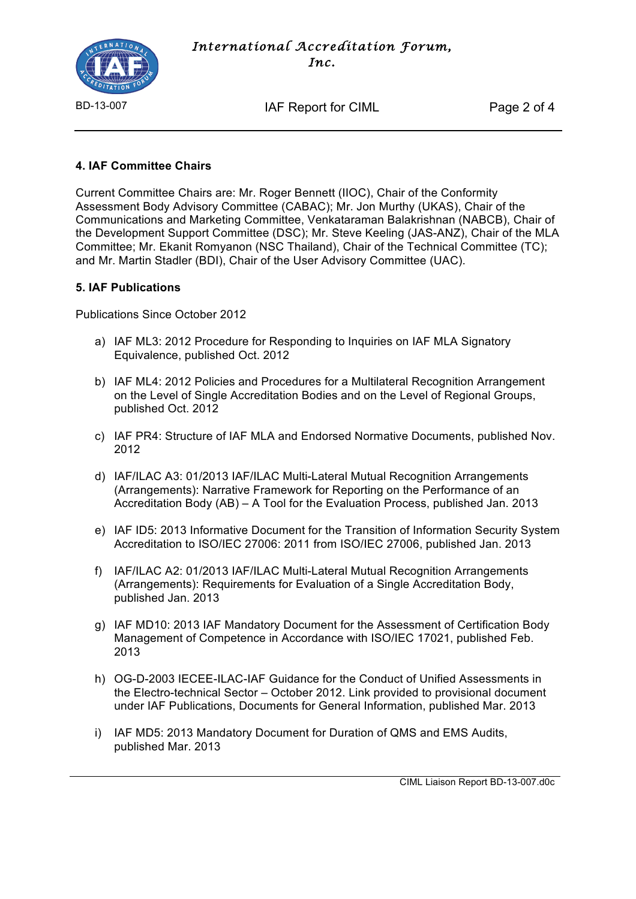

BD-13-007 **IAF Report for CIML** Page 2 of 4

# **4. IAF Committee Chairs**

Current Committee Chairs are: Mr. Roger Bennett (IIOC), Chair of the Conformity Assessment Body Advisory Committee (CABAC); Mr. Jon Murthy (UKAS), Chair of the Communications and Marketing Committee, Venkataraman Balakrishnan (NABCB), Chair of the Development Support Committee (DSC); Mr. Steve Keeling (JAS-ANZ), Chair of the MLA Committee; Mr. Ekanit Romyanon (NSC Thailand), Chair of the Technical Committee (TC); and Mr. Martin Stadler (BDI), Chair of the User Advisory Committee (UAC).

#### **5. IAF Publications**

Publications Since October 2012

- a) IAF ML3: 2012 Procedure for Responding to Inquiries on IAF MLA Signatory Equivalence, published Oct. 2012
- b) IAF ML4: 2012 Policies and Procedures for a Multilateral Recognition Arrangement on the Level of Single Accreditation Bodies and on the Level of Regional Groups, published Oct. 2012
- c) IAF PR4: Structure of IAF MLA and Endorsed Normative Documents, published Nov. 2012
- d) IAF/ILAC A3: 01/2013 IAF/ILAC Multi-Lateral Mutual Recognition Arrangements (Arrangements): Narrative Framework for Reporting on the Performance of an Accreditation Body (AB) – A Tool for the Evaluation Process, published Jan. 2013
- e) IAF ID5: 2013 Informative Document for the Transition of Information Security System Accreditation to ISO/IEC 27006: 2011 from ISO/IEC 27006, published Jan. 2013
- f) IAF/ILAC A2: 01/2013 IAF/ILAC Multi-Lateral Mutual Recognition Arrangements (Arrangements): Requirements for Evaluation of a Single Accreditation Body, published Jan. 2013
- g) IAF MD10: 2013 IAF Mandatory Document for the Assessment of Certification Body Management of Competence in Accordance with ISO/IEC 17021, published Feb. 2013
- h) OG-D-2003 IECEE-ILAC-IAF Guidance for the Conduct of Unified Assessments in the Electro-technical Sector – October 2012. Link provided to provisional document under IAF Publications, Documents for General Information, published Mar. 2013
- i) IAF MD5: 2013 Mandatory Document for Duration of QMS and EMS Audits, published Mar. 2013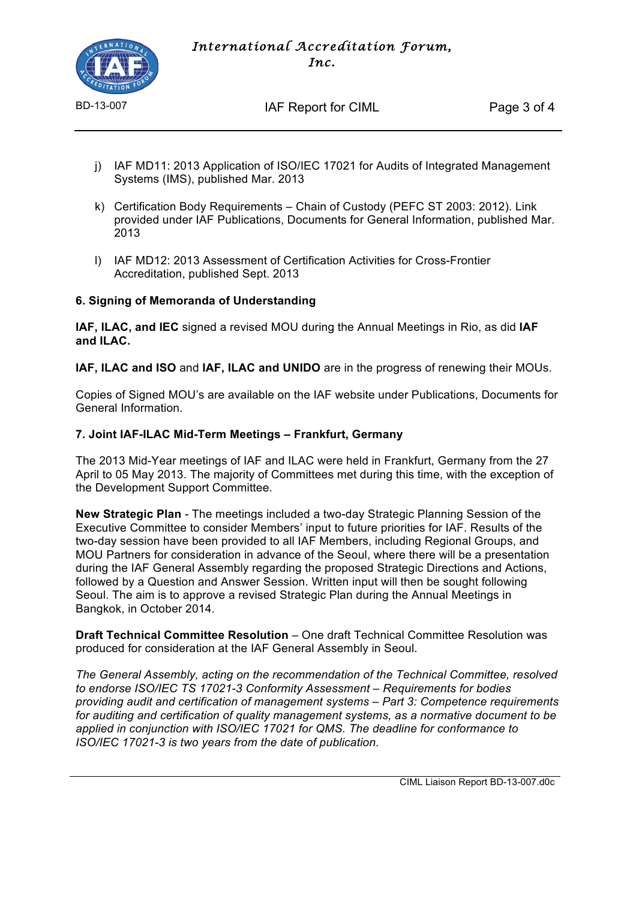

BD-13-007 **IAF Report for CIML** Page 3 of 4

- j) IAF MD11: 2013 Application of ISO/IEC 17021 for Audits of Integrated Management Systems (IMS), published Mar. 2013
- k) Certification Body Requirements Chain of Custody (PEFC ST 2003: 2012). Link provided under IAF Publications, Documents for General Information, published Mar. 2013
- l) IAF MD12: 2013 Assessment of Certification Activities for Cross-Frontier Accreditation, published Sept. 2013

## **6. Signing of Memoranda of Understanding**

**IAF, ILAC, and IEC** signed a revised MOU during the Annual Meetings in Rio, as did **IAF and ILAC.**

**IAF, ILAC and ISO** and **IAF, ILAC and UNIDO** are in the progress of renewing their MOUs.

Copies of Signed MOU's are available on the IAF website under Publications, Documents for General Information.

## **7. Joint IAF-ILAC Mid-Term Meetings – Frankfurt, Germany**

The 2013 Mid-Year meetings of IAF and ILAC were held in Frankfurt, Germany from the 27 April to 05 May 2013. The majority of Committees met during this time, with the exception of the Development Support Committee.

**New Strategic Plan** - The meetings included a two-day Strategic Planning Session of the Executive Committee to consider Members' input to future priorities for IAF. Results of the two-day session have been provided to all IAF Members, including Regional Groups, and MOU Partners for consideration in advance of the Seoul, where there will be a presentation during the IAF General Assembly regarding the proposed Strategic Directions and Actions, followed by a Question and Answer Session. Written input will then be sought following Seoul. The aim is to approve a revised Strategic Plan during the Annual Meetings in Bangkok, in October 2014.

**Draft Technical Committee Resolution** – One draft Technical Committee Resolution was produced for consideration at the IAF General Assembly in Seoul.

*The General Assembly, acting on the recommendation of the Technical Committee, resolved to endorse ISO/IEC TS 17021-3 Conformity Assessment – Requirements for bodies providing audit and certification of management systems – Part 3: Competence requirements for auditing and certification of quality management systems, as a normative document to be applied in conjunction with ISO/IEC 17021 for QMS. The deadline for conformance to ISO/IEC 17021-3 is two years from the date of publication*.